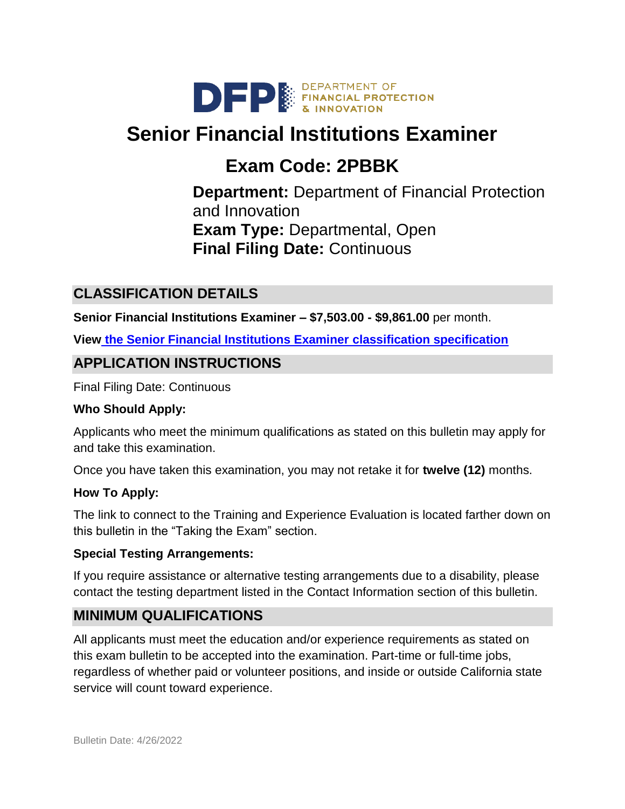

# **Senior Financial Institutions Examiner**

# **Exam Code: 2PBBK**

**Department:** Department of Financial Protection and Innovation **Exam Type:** Departmental, Open **Final Filing Date:** Continuous

# **CLASSIFICATION DETAILS**

**Senior Financial Institutions Examiner – \$7,503.00 - \$9,861.00** per month.

**View [the Senior Financial Institutions Examiner classification specification](https://www.calhr.ca.gov/state-hr-professionals/Pages/4101.aspx)**

# **APPLICATION INSTRUCTIONS**

Final Filing Date: Continuous

#### **Who Should Apply:**

Applicants who meet the minimum qualifications as stated on this bulletin may apply for and take this examination.

Once you have taken this examination, you may not retake it for **twelve (12)** months.

#### **How To Apply:**

The link to connect to the Training and Experience Evaluation is located farther down on this bulletin in the "Taking the Exam" section.

#### **Special Testing Arrangements:**

If you require assistance or alternative testing arrangements due to a disability, please contact the testing department listed in the Contact Information section of this bulletin.

## **MINIMUM QUALIFICATIONS**

All applicants must meet the education and/or experience requirements as stated on this exam bulletin to be accepted into the examination. Part-time or full-time jobs, regardless of whether paid or volunteer positions, and inside or outside California state service will count toward experience.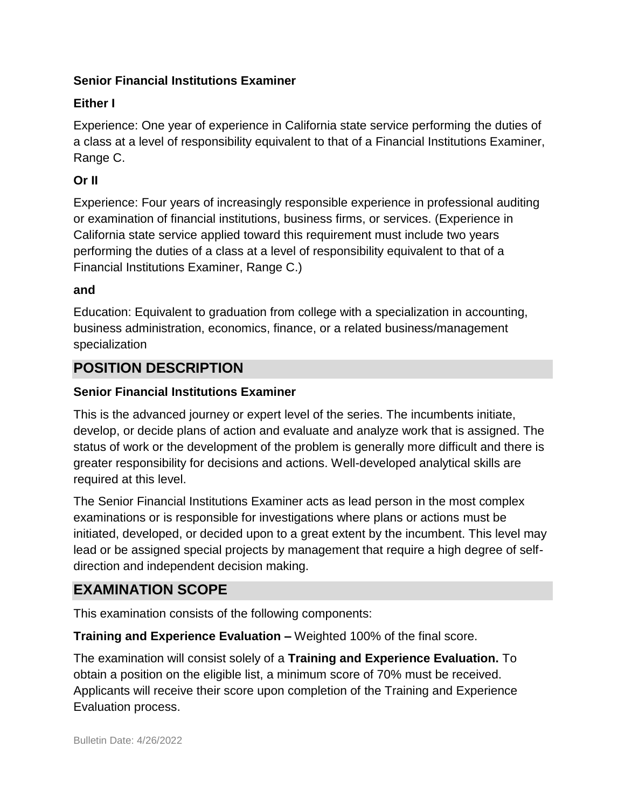### **Senior Financial Institutions Examiner**

## **Either I**

Experience: One year of experience in California state service performing the duties of a class at a level of responsibility equivalent to that of a Financial Institutions Examiner, Range C.

## **Or II**

Experience: Four years of increasingly responsible experience in professional auditing or examination of financial institutions, business firms, or services. (Experience in California state service applied toward this requirement must include two years performing the duties of a class at a level of responsibility equivalent to that of a Financial Institutions Examiner, Range C.)

### **and**

Education: Equivalent to graduation from college with a specialization in accounting, business administration, economics, finance, or a related business/management specialization

## **POSITION DESCRIPTION**

## **Senior Financial Institutions Examiner**

This is the advanced journey or expert level of the series. The incumbents initiate, develop, or decide plans of action and evaluate and analyze work that is assigned. The status of work or the development of the problem is generally more difficult and there is greater responsibility for decisions and actions. Well-developed analytical skills are required at this level.

The Senior Financial Institutions Examiner acts as lead person in the most complex examinations or is responsible for investigations where plans or actions must be initiated, developed, or decided upon to a great extent by the incumbent. This level may lead or be assigned special projects by management that require a high degree of selfdirection and independent decision making.

# **EXAMINATION SCOPE**

This examination consists of the following components:

**Training and Experience Evaluation –** Weighted 100% of the final score.

The examination will consist solely of a **Training and Experience Evaluation.** To obtain a position on the eligible list, a minimum score of 70% must be received. Applicants will receive their score upon completion of the Training and Experience Evaluation process.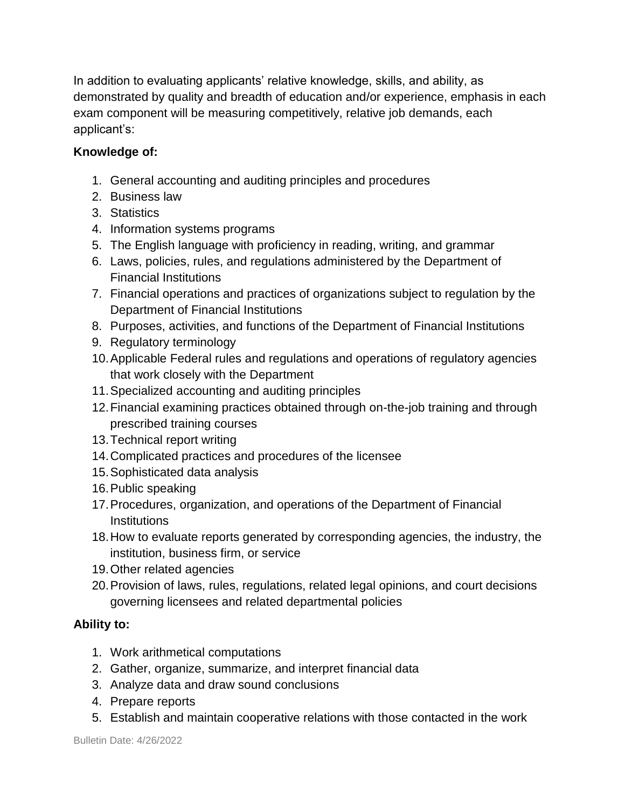In addition to evaluating applicants' relative knowledge, skills, and ability, as demonstrated by quality and breadth of education and/or experience, emphasis in each exam component will be measuring competitively, relative job demands, each applicant's:

## **Knowledge of:**

- 1. General accounting and auditing principles and procedures
- 2. Business law
- 3. Statistics
- 4. Information systems programs
- 5. The English language with proficiency in reading, writing, and grammar
- 6. Laws, policies, rules, and regulations administered by the Department of Financial Institutions
- 7. Financial operations and practices of organizations subject to regulation by the Department of Financial Institutions
- 8. Purposes, activities, and functions of the Department of Financial Institutions
- 9. Regulatory terminology
- 10.Applicable Federal rules and regulations and operations of regulatory agencies that work closely with the Department
- 11.Specialized accounting and auditing principles
- 12.Financial examining practices obtained through on-the-job training and through prescribed training courses
- 13.Technical report writing
- 14.Complicated practices and procedures of the licensee
- 15.Sophisticated data analysis
- 16.Public speaking
- 17.Procedures, organization, and operations of the Department of Financial **Institutions**
- 18.How to evaluate reports generated by corresponding agencies, the industry, the institution, business firm, or service
- 19.Other related agencies
- 20.Provision of laws, rules, regulations, related legal opinions, and court decisions governing licensees and related departmental policies

#### **Ability to:**

- 1. Work arithmetical computations
- 2. Gather, organize, summarize, and interpret financial data
- 3. Analyze data and draw sound conclusions
- 4. Prepare reports
- 5. Establish and maintain cooperative relations with those contacted in the work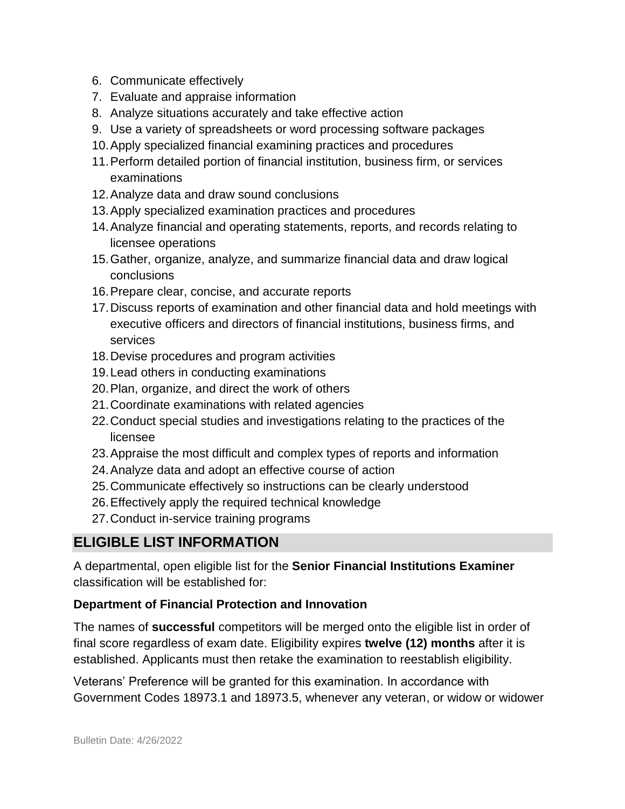- 6. Communicate effectively
- 7. Evaluate and appraise information
- 8. Analyze situations accurately and take effective action
- 9. Use a variety of spreadsheets or word processing software packages
- 10.Apply specialized financial examining practices and procedures
- 11.Perform detailed portion of financial institution, business firm, or services examinations
- 12.Analyze data and draw sound conclusions
- 13.Apply specialized examination practices and procedures
- 14.Analyze financial and operating statements, reports, and records relating to licensee operations
- 15.Gather, organize, analyze, and summarize financial data and draw logical conclusions
- 16.Prepare clear, concise, and accurate reports
- 17.Discuss reports of examination and other financial data and hold meetings with executive officers and directors of financial institutions, business firms, and services
- 18.Devise procedures and program activities
- 19.Lead others in conducting examinations
- 20.Plan, organize, and direct the work of others
- 21.Coordinate examinations with related agencies
- 22.Conduct special studies and investigations relating to the practices of the licensee
- 23.Appraise the most difficult and complex types of reports and information
- 24.Analyze data and adopt an effective course of action
- 25.Communicate effectively so instructions can be clearly understood
- 26.Effectively apply the required technical knowledge
- 27.Conduct in-service training programs

## **ELIGIBLE LIST INFORMATION**

A departmental, open eligible list for the **Senior Financial Institutions Examiner** classification will be established for:

## **Department of Financial Protection and Innovation**

The names of **successful** competitors will be merged onto the eligible list in order of final score regardless of exam date. Eligibility expires **twelve (12) months** after it is established. Applicants must then retake the examination to reestablish eligibility.

Veterans' Preference will be granted for this examination. In accordance with Government Codes 18973.1 and 18973.5, whenever any veteran, or widow or widower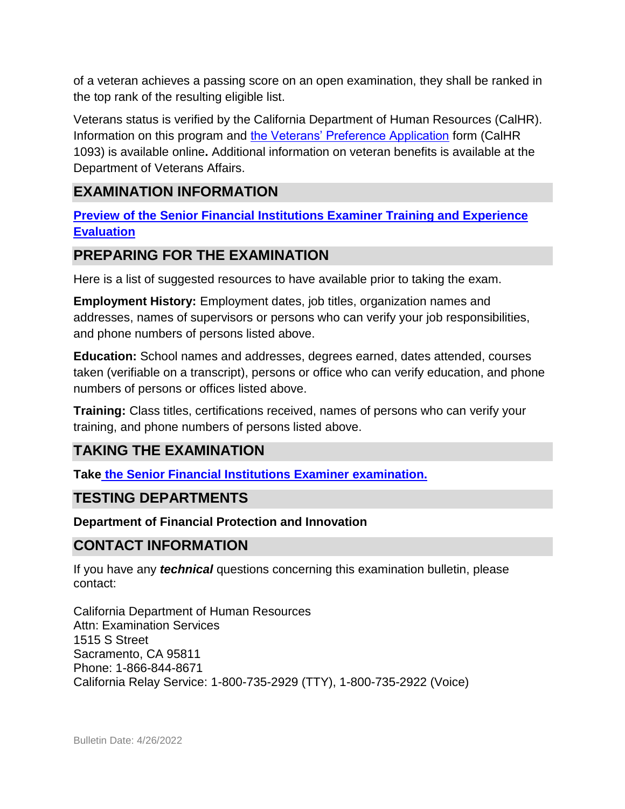of a veteran achieves a passing score on an open examination, they shall be ranked in the top rank of the resulting eligible list.

Veterans status is verified by the California Department of Human Resources (CalHR). Information on this program and [the Veterans' Preference Application](https://www.jobs.ca.gov/CalHRPublic/Landing/Jobs/VeteransInformation.aspx) form (CalHR 1093) is available online**.** Additional information on veteran benefits is available at the Department of Veterans Affairs.

## **EXAMINATION INFORMATION**

**Preview of the [Senior Financial Institutions Examiner](https://jobs.ca.gov/jobsgen/2PBBKa.pdf) Training and Experience [Evaluation](https://jobs.ca.gov/jobsgen/2PBBKa.pdf)** 

## **PREPARING FOR THE EXAMINATION**

Here is a list of suggested resources to have available prior to taking the exam.

**Employment History:** Employment dates, job titles, organization names and addresses, names of supervisors or persons who can verify your job responsibilities, and phone numbers of persons listed above.

**Education:** School names and addresses, degrees earned, dates attended, courses taken (verifiable on a transcript), persons or office who can verify education, and phone numbers of persons or offices listed above.

**Training:** Class titles, certifications received, names of persons who can verify your training, and phone numbers of persons listed above.

## **TAKING THE EXAMINATION**

**Take [the Senior Financial Institutions Examiner examination.](https://www.jobs.ca.gov/CalHRPublic/Login.aspx?ExamId=2PBBK)**

## **TESTING DEPARTMENTS**

#### **Department of Financial Protection and Innovation**

## **CONTACT INFORMATION**

If you have any *technical* questions concerning this examination bulletin, please contact:

California Department of Human Resources Attn: Examination Services 1515 S Street Sacramento, CA 95811 Phone: 1-866-844-8671 California Relay Service: 1-800-735-2929 (TTY), 1-800-735-2922 (Voice)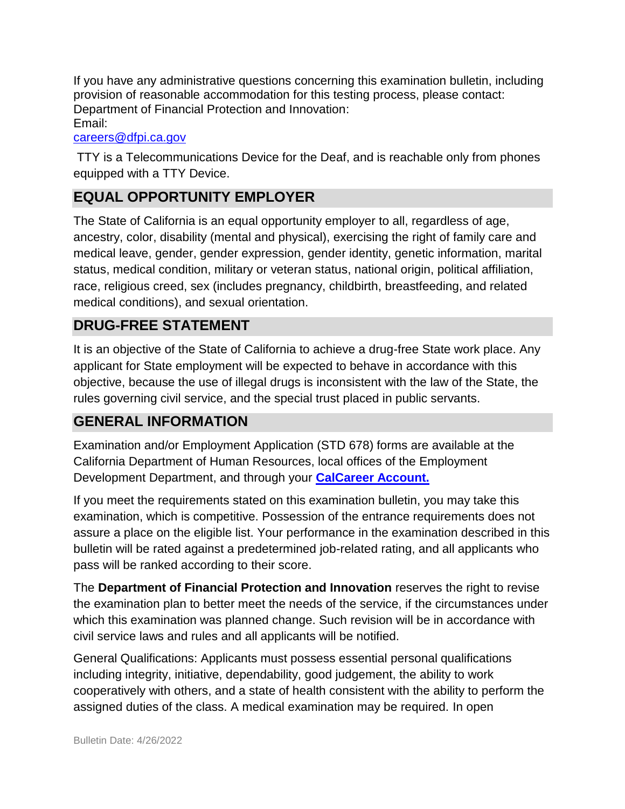If you have any administrative questions concerning this examination bulletin, including provision of reasonable accommodation for this testing process, please contact: Department of Financial Protection and Innovation: Email:

#### [careers@dfpi.ca.gov](mailto:careers@dfpi.ca.gov)

TTY is a Telecommunications Device for the Deaf, and is reachable only from phones equipped with a TTY Device.

# **EQUAL OPPORTUNITY EMPLOYER**

The State of California is an equal opportunity employer to all, regardless of age, ancestry, color, disability (mental and physical), exercising the right of family care and medical leave, gender, gender expression, gender identity, genetic information, marital status, medical condition, military or veteran status, national origin, political affiliation, race, religious creed, sex (includes pregnancy, childbirth, breastfeeding, and related medical conditions), and sexual orientation.

## **DRUG-FREE STATEMENT**

It is an objective of the State of California to achieve a drug-free State work place. Any applicant for State employment will be expected to behave in accordance with this objective, because the use of illegal drugs is inconsistent with the law of the State, the rules governing civil service, and the special trust placed in public servants.

## **GENERAL INFORMATION**

Examination and/or Employment Application (STD 678) forms are available at the California Department of Human Resources, local offices of the Employment Development Department, and through your **[CalCareer Account.](http://www.jobs.ca.gov/)**

If you meet the requirements stated on this examination bulletin, you may take this examination, which is competitive. Possession of the entrance requirements does not assure a place on the eligible list. Your performance in the examination described in this bulletin will be rated against a predetermined job-related rating, and all applicants who pass will be ranked according to their score.

The **Department of Financial Protection and Innovation** reserves the right to revise the examination plan to better meet the needs of the service, if the circumstances under which this examination was planned change. Such revision will be in accordance with civil service laws and rules and all applicants will be notified.

General Qualifications: Applicants must possess essential personal qualifications including integrity, initiative, dependability, good judgement, the ability to work cooperatively with others, and a state of health consistent with the ability to perform the assigned duties of the class. A medical examination may be required. In open